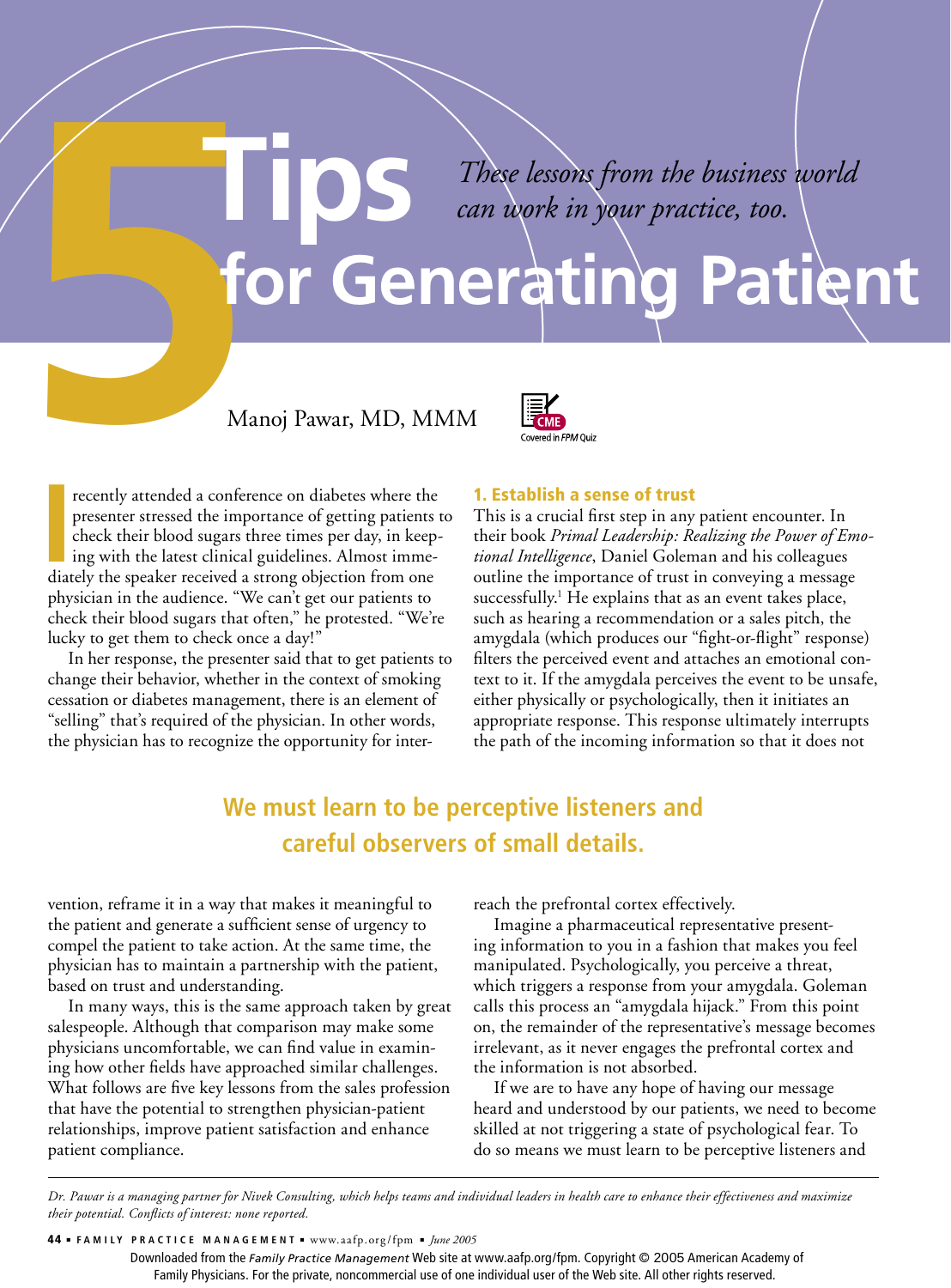# Manoj Pawar, MD, MMM **Tips for Generating Patient** *These lessons from the business world can work in your practice, too.*



**I** recently attended a conference on diabetes where the presenter stressed the importance of getting patients check their blood sugars three times per day, in keep ing with the latest clinical guidelines. Almost immediate recently attended a conference on diabetes where the presenter stressed the importance of getting patients to check their blood sugars three times per day, in keeping with the latest clinical guidelines. Almost immephysician in the audience. "We can't get our patients to check their blood sugars that often," he protested. "We're lucky to get them to check once a day!"

In her response, the presenter said that to get patients to change their behavior, whether in the context of smoking cessation or diabetes management, there is an element of "selling" that's required of the physician. In other words, the physician has to recognize the opportunity for inter-

# 1. Establish a sense of trust

This is a crucial first step in any patient encounter. In their book *Primal Leadership: Realizing the Power of Emotional Intelligence*, Daniel Goleman and his colleagues outline the importance of trust in conveying a message successfully.<sup>1</sup> He explains that as an event takes place, such as hearing a recommendation or a sales pitch, the amygdala (which produces our "fight-or-flight" response) filters the perceived event and attaches an emotional context to it. If the amygdala perceives the event to be unsafe, either physically or psychologically, then it initiates an appropriate response. This response ultimately interrupts the path of the incoming information so that it does not

# **We must learn to be perceptive listeners and careful observers of small details.**

vention, reframe it in a way that makes it meaningful to the patient and generate a sufficient sense of urgency to compel the patient to take action. At the same time, the physician has to maintain a partnership with the patient, based on trust and understanding.

In many ways, this is the same approach taken by great salespeople. Although that comparison may make some physicians uncomfortable, we can find value in examining how other fields have approached similar challenges. What follows are five key lessons from the sales profession that have the potential to strengthen physician-patient relationships, improve patient satisfaction and enhance patient compliance.

reach the prefrontal cortex effectively.

Imagine a pharmaceutical representative presenting information to you in a fashion that makes you feel manipulated. Psychologically, you perceive a threat, which triggers a response from your amygdala. Goleman calls this process an "amygdala hijack." From this point on, the remainder of the representative's message becomes irrelevant, as it never engages the prefrontal cortex and the information is not absorbed.

If we are to have any hope of having our message heard and understood by our patients, we need to become skilled at not triggering a state of psychological fear. To do so means we must learn to be perceptive listeners and

*Dr. Pawar is a managing partner for Nivek Consulting, which helps teams and individual leaders in health care to enhance their effectiveness and maximize their potential. Conflicts of interest: none reported.*

44 ■ **F A M I L Y P R A C T I C E M A N A G E M E N T** ■ www.aafp.org /fpm ■ *June 2005*

Downloaded from the *Family Practice Management* Web site at www.aafp.org/fpm. Copyright © 2005 American Academy of Family Physicians. For the private, noncommercial use of one individual user of the Web site. All other rights reserved.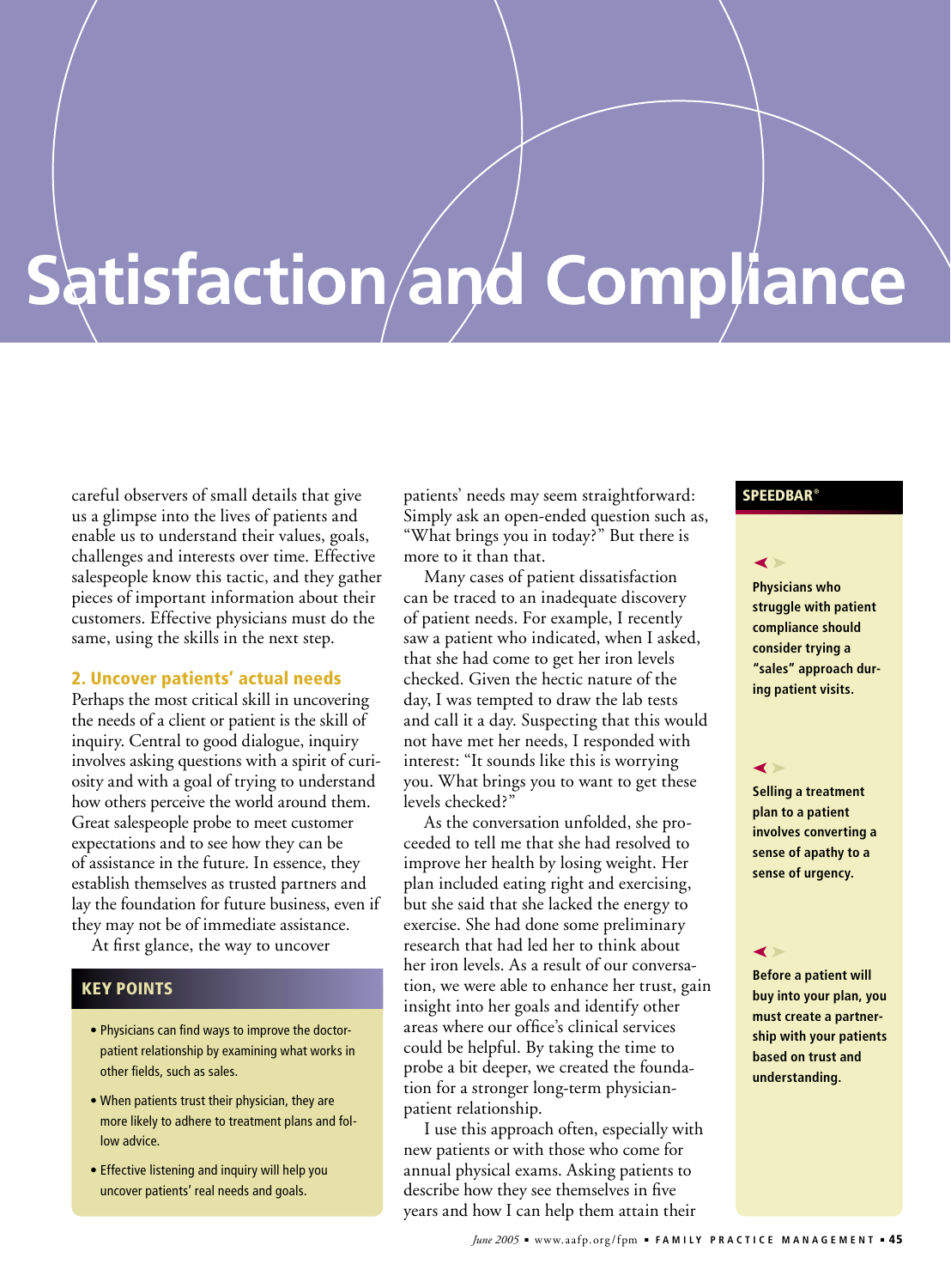# **Satisfaction/and Compliance**

careful observers of small details that give us a glimpse into the lives of patients and enable us to understand their values, goals, challenges and interests over time. Effective salespeople know this tactic, and they gather pieces of important information about their customers. Effective physicians must do the same, using the skills in the next step.

#### 2. Uncover patients' actual needs

Perhaps the most critical skill in uncovering the needs of a client or patient is the skill of inquiry. Central to good dialogue, inquiry involves asking questions with a spirit of curiosity and with a goal of trying to understand how others perceive the world around them. Great salespeople probe to meet customer expectations and to see how they can be of assistance in the future. In essence, they establish themselves as trusted partners and lay the foundation for future business, even if they may not be of immediate assistance.

At first glance, the way to uncover

# KEY POINTS

- Physicians can find ways to improve the doctorpatient relationship by examining what works in other fields, such as sales.
- When patients trust their physician, they are more likely to adhere to treatment plans and follow advice.
- Effective listening and inquiry will help you uncover patients' real needs and goals.

patients' needs may seem straightforward: Simply ask an open-ended question such as, "What brings you in today?" But there is more to it than that.

Many cases of patient dissatisfaction can be traced to an inadequate discovery of patient needs. For example, I recently saw a patient who indicated, when I asked, that she had come to get her iron levels checked. Given the hectic nature of the day, I was tempted to draw the lab tests and call it a day. Suspecting that this would not have met her needs, I responded with interest: "It sounds like this is worrying you. What brings you to want to get these levels checked?"

As the conversation unfolded, she proceeded to tell me that she had resolved to improve her health by losing weight. Her plan included eating right and exercising, but she said that she lacked the energy to exercise. She had done some preliminary research that had led her to think about her iron levels. As a result of our conversation, we were able to enhance her trust, gain insight into her goals and identify other areas where our office's clinical services could be helpful. By taking the time to probe a bit deeper, we created the foundation for a stronger long-term physicianpatient relationship.

I use this approach often, especially with new patients or with those who come for annual physical exams. Asking patients to describe how they see themselves in five years and how I can help them attain their

### SPEEDBAR**®**

➤➤

**Physicians who struggle with patient compliance should consider trying a "sales" approach during patient visits.**

#### ➤➤

**Selling a treatment plan to a patient involves converting a sense of apathy to a sense of urgency.** 

# ➤➤ **Before a patient will**

**buy into your plan, you must create a partnership with your patients based on trust and understanding.**